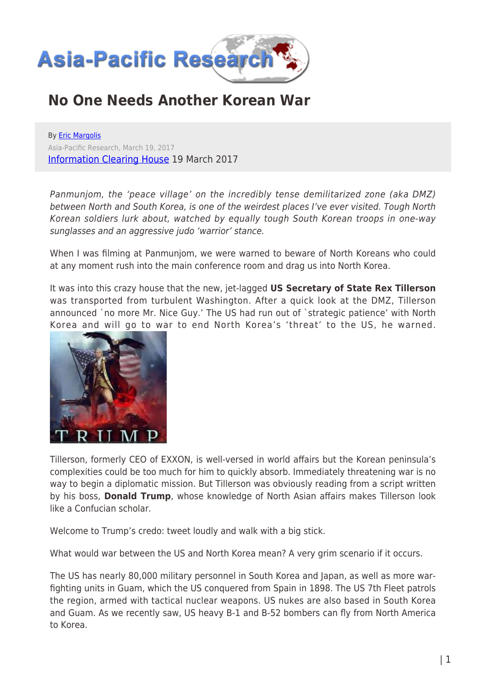

## **No One Needs Another Korean War**

By [Eric Margolis](https://www.asia-pacificresearch.com/author/eric-margolis) Asia-Pacific Research, March 19, 2017 [Information Clearing House](http://www.informationclearinghouse.info/46687.htm) 19 March 2017

Panmunjom, the 'peace village' on the incredibly tense demilitarized zone (aka DMZ) between North and South Korea, is one of the weirdest places I've ever visited. Tough North Korean soldiers lurk about, watched by equally tough South Korean troops in one-way sunglasses and an aggressive judo 'warrior' stance.

When I was filming at Panmunjom, we were warned to beware of North Koreans who could at any moment rush into the main conference room and drag us into North Korea.

It was into this crazy house that the new, jet-lagged **US Secretary of State Rex Tillerson** was transported from turbulent Washington. After a quick look at the DMZ, Tillerson announced `no more Mr. Nice Guy.' The US had run out of `strategic patience' with North Korea and will go to war to end North Korea's 'threat' to the US, he warned.



Tillerson, formerly CEO of EXXON, is well-versed in world affairs but the Korean peninsula's complexities could be too much for him to quickly absorb. Immediately threatening war is no way to begin a diplomatic mission. But Tillerson was obviously reading from a script written by his boss, **Donald Trump**, whose knowledge of North Asian affairs makes Tillerson look like a Confucian scholar.

Welcome to Trump's credo: tweet loudly and walk with a big stick.

What would war between the US and North Korea mean? A very grim scenario if it occurs.

The US has nearly 80,000 military personnel in South Korea and Japan, as well as more warfighting units in Guam, which the US conquered from Spain in 1898. The US 7th Fleet patrols the region, armed with tactical nuclear weapons. US nukes are also based in South Korea and Guam. As we recently saw, US heavy B-1 and B-52 bombers can fly from North America to Korea.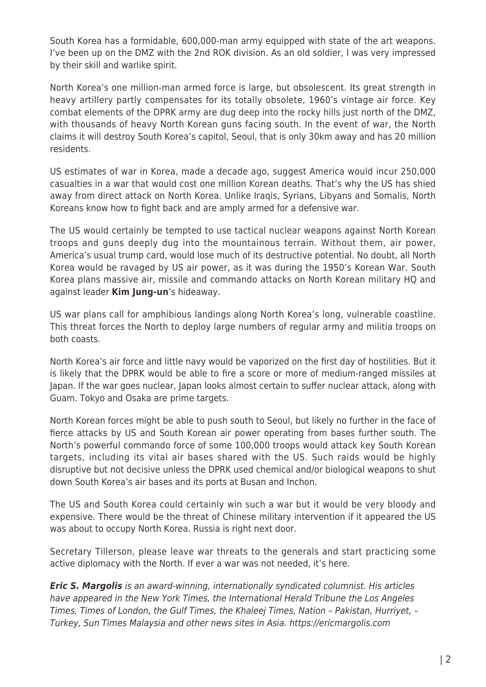South Korea has a formidable, 600,000-man army equipped with state of the art weapons. I've been up on the DMZ with the 2nd ROK division. As an old soldier, I was very impressed by their skill and warlike spirit.

North Korea's one million-man armed force is large, but obsolescent. Its great strength in heavy artillery partly compensates for its totally obsolete, 1960's vintage air force. Key combat elements of the DPRK army are dug deep into the rocky hills just north of the DMZ, with thousands of heavy North Korean guns facing south. In the event of war, the North claims it will destroy South Korea's capitol, Seoul, that is only 30km away and has 20 million residents.

US estimates of war in Korea, made a decade ago, suggest America would incur 250,000 casualties in a war that would cost one million Korean deaths. That's why the US has shied away from direct attack on North Korea. Unlike Iraqis, Syrians, Libyans and Somalis, North Koreans know how to fight back and are amply armed for a defensive war.

The US would certainly be tempted to use tactical nuclear weapons against North Korean troops and guns deeply dug into the mountainous terrain. Without them, air power, America's usual trump card, would lose much of its destructive potential. No doubt, all North Korea would be ravaged by US air power, as it was during the 1950's Korean War. South Korea plans massive air, missile and commando attacks on North Korean military HQ and against leader **Kim Jung-un**'s hideaway.

US war plans call for amphibious landings along North Korea's long, vulnerable coastline. This threat forces the North to deploy large numbers of regular army and militia troops on both coasts.

North Korea's air force and little navy would be vaporized on the first day of hostilities. But it is likely that the DPRK would be able to fire a score or more of medium-ranged missiles at Japan. If the war goes nuclear, Japan looks almost certain to suffer nuclear attack, along with Guam. Tokyo and Osaka are prime targets.

North Korean forces might be able to push south to Seoul, but likely no further in the face of fierce attacks by US and South Korean air power operating from bases further south. The North's powerful commando force of some 100,000 troops would attack key South Korean targets, including its vital air bases shared with the US. Such raids would be highly disruptive but not decisive unless the DPRK used chemical and/or biological weapons to shut down South Korea's air bases and its ports at Busan and Inchon.

The US and South Korea could certainly win such a war but it would be very bloody and expensive. There would be the threat of Chinese military intervention if it appeared the US was about to occupy North Korea. Russia is right next door.

Secretary Tillerson, please leave war threats to the generals and start practicing some active diplomacy with the North. If ever a war was not needed, it's here.

*Eric S. Margolis* is an award-winning, internationally syndicated columnist. His articles have appeared in the New York Times, the International Herald Tribune the Los Angeles Times, Times of London, the Gulf Times, the Khaleej Times, Nation – Pakistan, Hurriyet, – Turkey, Sun Times Malaysia and other news sites in Asia. https://ericmargolis.com